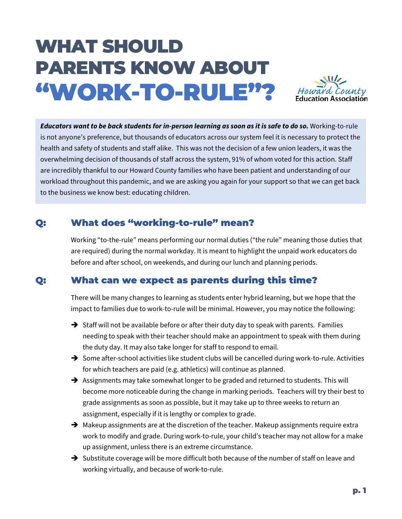# WHAT SHOULD PARENTS KNOW ABOUT "WORK-TO-RULE"?



*Educators want to be back students for in-person learning as soon as it is safe to do so.* Working-to-rule is not anyone's preference, but thousands of educators across our system feel it is necessary to protect the health and safety of students and staff alike. This was not the decision of a few union leaders, it was the overwhelming decision of thousands of staff across the system, 91% of whom voted for this action. Staff are incredibly thankful to our Howard County families who have been patient and understanding of our workload throughout this pandemic, and we are asking you again for your support so that we can get back to the business we know best: educating children.

## Q: What does "working-to-rule" mean?

Working "to-the-rule" means performing our normal duties ("the rule" meaning those duties that are required) during the normal workday. It is meant to highlight the unpaid work educators do before and after school, on weekends, and during our lunch and planning periods.

#### Q: What can we expect as parents during this time?

There will be many changes to learning as students enter hybrid learning, but we hope that the impact to families due to work-to-rule will be minimal. However, you may notice the following:

- $\rightarrow$  Staff will not be available before or after their duty day to speak with parents. Families needing to speak with their teacher should make an appointment to speak with them during the duty day. It may also take longer for staff to respond to email.
- $\rightarrow$  Some after-school activities like student clubs will be cancelled during work-to-rule. Activities for which teachers are paid (e.g. athletics) will continue as planned.
- $\rightarrow$  Assignments may take somewhat longer to be graded and returned to students. This will become more noticeable during the change in marking periods. Teachers will try their best to grade assignments as soon as possible, but it may take up to three weeks to return an assignment, especially if it is lengthy or complex to grade.
- $\rightarrow$  Makeup assignments are at the discretion of the teacher. Makeup assignments require extra work to modify and grade. During work-to-rule, your child's teacher may not allow for a make up assignment, unless there is an extreme circumstance.
- $\rightarrow$  Substitute coverage will be more difficult both because of the number of staff on leave and working virtually, and because of work-to-rule.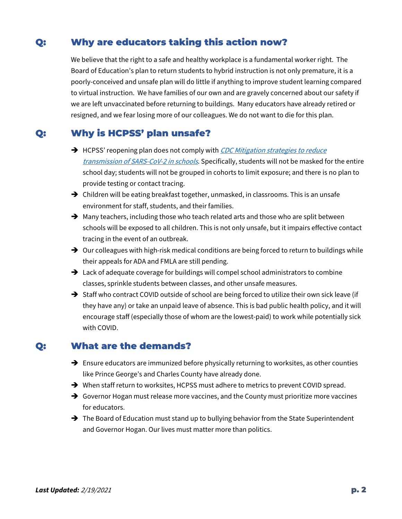### Q: Why are educators taking this action now?

We believe that the right to a safe and healthy workplace is a fundamental worker right. The Board of Education's plan to return students to hybrid instruction is not only premature, it is a poorly-conceived and unsafe plan will do little if anything to improve student learning compared to virtual instruction. We have families of our own and are gravely concerned about our safety if we are left unvaccinated before returning to buildings. Many educators have already retired or resigned, and we fear losing more of our colleagues. We do not want to die for this plan.

#### Q: Why is HCPSS' plan unsafe?

- HCPSS' reopening plan does not comply with *CDC Mitigation strategies to reduce* [transmission of SARS-CoV-2 in schools](https://www.cdc.gov/coronavirus/2019-ncov/community/schools-childcare/operation-strategy.html#mitigation-strategies). Specifically, students will not be masked for the entire school day; students will not be grouped in cohorts to limit exposure; and there is no plan to provide testing or contact tracing.
- $\rightarrow$  Children will be eating breakfast together, unmasked, in classrooms. This is an unsafe environment for staff, students, and their families.
- $\rightarrow$  Many teachers, including those who teach related arts and those who are split between schools will be exposed to all children. This is not only unsafe, but it impairs effective contact tracing in the event of an outbreak.
- $\rightarrow$  Our colleagues with high-risk medical conditions are being forced to return to buildings while their appeals for ADA and FMLA are still pending.
- $\rightarrow$  Lack of adequate coverage for buildings will compel school administrators to combine classes, sprinkle students between classes, and other unsafe measures.
- $\rightarrow$  Staff who contract COVID outside of school are being forced to utilize their own sick leave (if they have any) or take an unpaid leave of absence. This is bad public health policy, and it will encourage staff (especially those of whom are the lowest-paid) to work while potentially sick with COVID.

#### Q: What are the demands?

- $\rightarrow$  Ensure educators are immunized before physically returning to worksites, as other counties like Prince George's and Charles County have already done.
- → When staff return to worksites, HCPSS must adhere to metrics to prevent COVID spread.
- → Governor Hogan must release more vaccines, and the County must prioritize more vaccines for educators.
- $\rightarrow$  The Board of Education must stand up to bullying behavior from the State Superintendent and Governor Hogan. Our lives must matter more than politics.